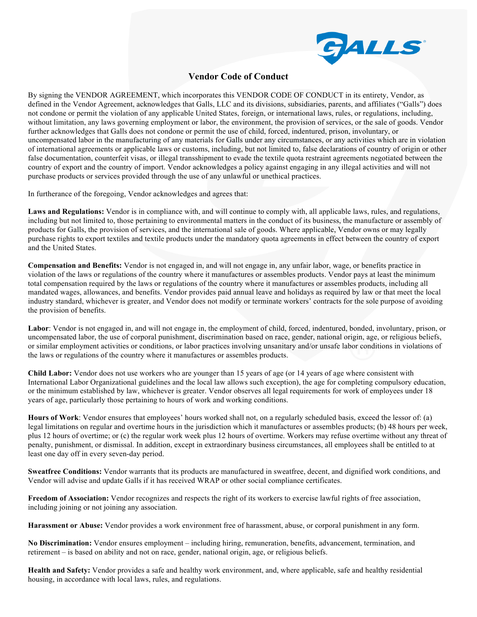

## **Vendor Code of Conduct**

By signing the VENDOR AGREEMENT, which incorporates this VENDOR CODE OF CONDUCT in its entirety, Vendor, as defined in the Vendor Agreement, acknowledges that Galls, LLC and its divisions, subsidiaries, parents, and affiliates ("Galls") does not condone or permit the violation of any applicable United States, foreign, or international laws, rules, or regulations, including, without limitation, any laws governing employment or labor, the environment, the provision of services, or the sale of goods. Vendor further acknowledges that Galls does not condone or permit the use of child, forced, indentured, prison, involuntary, or uncompensated labor in the manufacturing of any materials for Galls under any circumstances, or any activities which are in violation of international agreements or applicable laws or customs, including, but not limited to, false declarations of country of origin or other false documentation, counterfeit visas, or illegal transshipment to evade the textile quota restraint agreements negotiated between the country of export and the country of import. Vendor acknowledges a policy against engaging in any illegal activities and will not purchase products or services provided through the use of any unlawful or unethical practices.

In furtherance of the foregoing, Vendor acknowledges and agrees that:

**Laws and Regulations:** Vendor is in compliance with, and will continue to comply with, all applicable laws, rules, and regulations, including but not limited to, those pertaining to environmental matters in the conduct of its business, the manufacture or assembly of products for Galls, the provision of services, and the international sale of goods. Where applicable, Vendor owns or may legally purchase rights to export textiles and textile products under the mandatory quota agreements in effect between the country of export and the United States.

**Compensation and Benefits:** Vendor is not engaged in, and will not engage in, any unfair labor, wage, or benefits practice in violation of the laws or regulations of the country where it manufactures or assembles products. Vendor pays at least the minimum total compensation required by the laws or regulations of the country where it manufactures or assembles products, including all mandated wages, allowances, and benefits. Vendor provides paid annual leave and holidays as required by law or that meet the local industry standard, whichever is greater, and Vendor does not modify or terminate workers' contracts for the sole purpose of avoiding the provision of benefits.

Labor: Vendor is not engaged in, and will not engage in, the employment of child, forced, indentured, bonded, involuntary, prison, or uncompensated labor, the use of corporal punishment, discrimination based on race, gender, national origin, age, or religious beliefs, or similar employment activities or conditions, or labor practices involving unsanitary and/or unsafe labor conditions in violations of the laws or regulations of the country where it manufactures or assembles products.

**Child Labor:** Vendor does not use workers who are younger than 15 years of age (or 14 years of age where consistent with International Labor Organizational guidelines and the local law allows such exception), the age for completing compulsory education, or the minimum established by law, whichever is greater. Vendor observes all legal requirements for work of employees under 18 years of age, particularly those pertaining to hours of work and working conditions.

**Hours of Work**: Vendor ensures that employees' hours worked shall not, on a regularly scheduled basis, exceed the lessor of: (a) legal limitations on regular and overtime hours in the jurisdiction which it manufactures or assembles products; (b) 48 hours per week, plus 12 hours of overtime; or (c) the regular work week plus 12 hours of overtime. Workers may refuse overtime without any threat of penalty, punishment, or dismissal. In addition, except in extraordinary business circumstances, all employees shall be entitled to at least one day off in every seven-day period.

**Sweatfree Conditions:** Vendor warrants that its products are manufactured in sweatfree, decent, and dignified work conditions, and Vendor will advise and update Galls if it has received WRAP or other social compliance certificates.

**Freedom of Association:** Vendor recognizes and respects the right of its workers to exercise lawful rights of free association, including joining or not joining any association.

**Harassment or Abuse:** Vendor provides a work environment free of harassment, abuse, or corporal punishment in any form.

**No Discrimination:** Vendor ensures employment – including hiring, remuneration, benefits, advancement, termination, and retirement – is based on ability and not on race, gender, national origin, age, or religious beliefs.

**Health and Safety:** Vendor provides a safe and healthy work environment, and, where applicable, safe and healthy residential housing, in accordance with local laws, rules, and regulations.